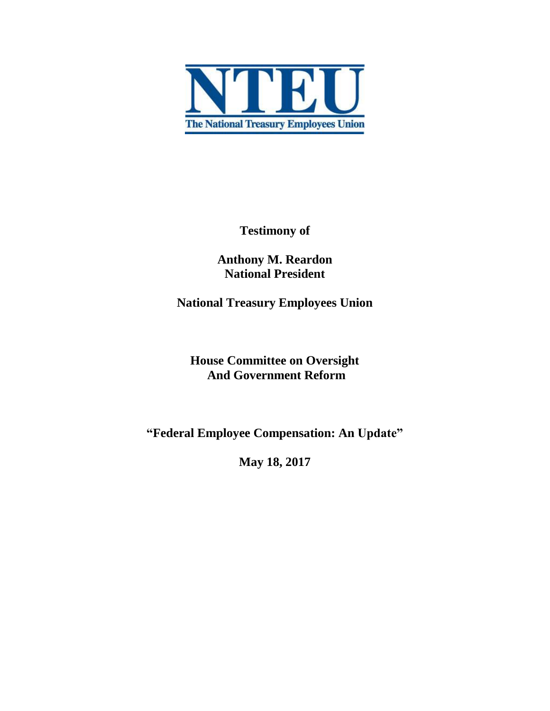

**Testimony of** 

**Anthony M. Reardon National President**

**National Treasury Employees Union**

**House Committee on Oversight And Government Reform** 

**"Federal Employee Compensation: An Update"**

**May 18, 2017**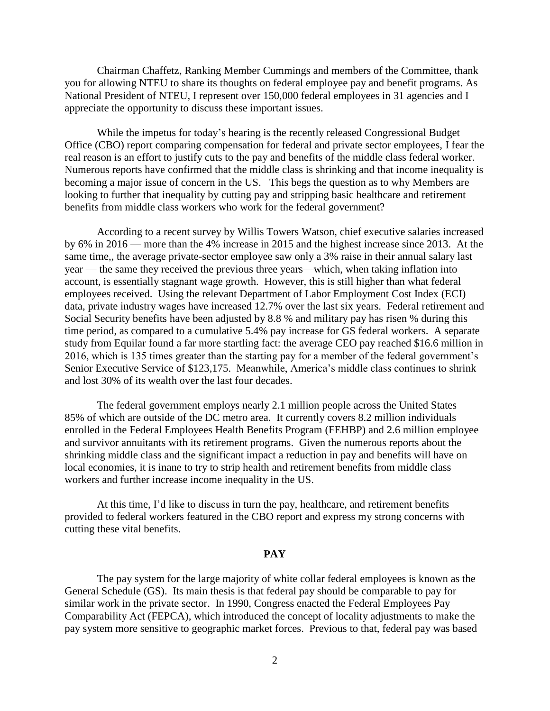Chairman Chaffetz, Ranking Member Cummings and members of the Committee, thank you for allowing NTEU to share its thoughts on federal employee pay and benefit programs. As National President of NTEU, I represent over 150,000 federal employees in 31 agencies and I appreciate the opportunity to discuss these important issues.

While the impetus for today's hearing is the recently released Congressional Budget Office (CBO) report comparing compensation for federal and private sector employees, I fear the real reason is an effort to justify cuts to the pay and benefits of the middle class federal worker. Numerous reports have confirmed that the middle class is shrinking and that income inequality is becoming a major issue of concern in the US. This begs the question as to why Members are looking to further that inequality by cutting pay and stripping basic healthcare and retirement benefits from middle class workers who work for the federal government?

According to a recent survey by Willis Towers Watson, chief executive salaries increased by 6% in 2016 — more than the 4% increase in 2015 and the highest increase since 2013. At the same time,, the average private-sector employee saw only a 3% raise in their annual salary last year — the same they received the previous three years—which, when taking inflation into account, is essentially stagnant wage growth. However, this is still higher than what federal employees received. Using the relevant Department of Labor Employment Cost Index (ECI) data, private industry wages have increased 12.7% over the last six years. Federal retirement and Social Security benefits have been adjusted by 8.8 % and military pay has risen % during this time period, as compared to a cumulative 5.4% pay increase for GS federal workers. A separate study from Equilar found a far more startling fact: the average CEO pay reached \$16.6 million in 2016, which is 135 times greater than the starting pay for a member of the federal government's Senior Executive Service of \$123,175. Meanwhile, America's middle class continues to shrink and lost 30% of its wealth over the last four decades.

The federal government employs nearly 2.1 million people across the United States— 85% of which are outside of the DC metro area. It currently covers 8.2 million individuals enrolled in the Federal Employees Health Benefits Program (FEHBP) and 2.6 million employee and survivor annuitants with its retirement programs. Given the numerous reports about the shrinking middle class and the significant impact a reduction in pay and benefits will have on local economies, it is inane to try to strip health and retirement benefits from middle class workers and further increase income inequality in the US.

At this time, I'd like to discuss in turn the pay, healthcare, and retirement benefits provided to federal workers featured in the CBO report and express my strong concerns with cutting these vital benefits.

## **PAY**

The pay system for the large majority of white collar federal employees is known as the General Schedule (GS). Its main thesis is that federal pay should be comparable to pay for similar work in the private sector. In 1990, Congress enacted the Federal Employees Pay Comparability Act (FEPCA), which introduced the concept of locality adjustments to make the pay system more sensitive to geographic market forces. Previous to that, federal pay was based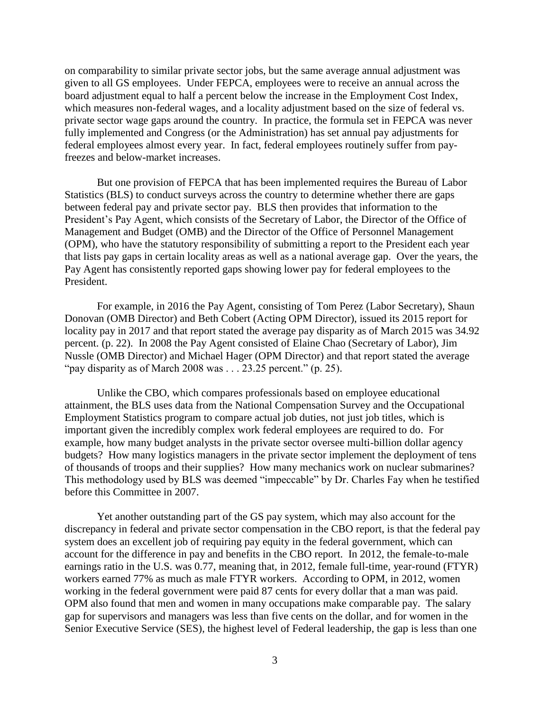on comparability to similar private sector jobs, but the same average annual adjustment was given to all GS employees. Under FEPCA, employees were to receive an annual across the board adjustment equal to half a percent below the increase in the Employment Cost Index, which measures non-federal wages, and a locality adjustment based on the size of federal vs. private sector wage gaps around the country. In practice, the formula set in FEPCA was never fully implemented and Congress (or the Administration) has set annual pay adjustments for federal employees almost every year. In fact, federal employees routinely suffer from payfreezes and below-market increases.

But one provision of FEPCA that has been implemented requires the Bureau of Labor Statistics (BLS) to conduct surveys across the country to determine whether there are gaps between federal pay and private sector pay. BLS then provides that information to the President's Pay Agent, which consists of the Secretary of Labor, the Director of the Office of Management and Budget (OMB) and the Director of the Office of Personnel Management (OPM), who have the statutory responsibility of submitting a report to the President each year that lists pay gaps in certain locality areas as well as a national average gap. Over the years, the Pay Agent has consistently reported gaps showing lower pay for federal employees to the President.

For example, in 2016 the Pay Agent, consisting of Tom Perez (Labor Secretary), Shaun Donovan (OMB Director) and Beth Cobert (Acting OPM Director), issued its 2015 report for locality pay in 2017 and that report stated the average pay disparity as of March 2015 was 34.92 percent. (p. 22). In 2008 the Pay Agent consisted of Elaine Chao (Secretary of Labor), Jim Nussle (OMB Director) and Michael Hager (OPM Director) and that report stated the average "pay disparity as of March 2008 was . . . 23.25 percent." (p. 25).

Unlike the CBO, which compares professionals based on employee educational attainment, the BLS uses data from the National Compensation Survey and the Occupational Employment Statistics program to compare actual job duties, not just job titles, which is important given the incredibly complex work federal employees are required to do. For example, how many budget analysts in the private sector oversee multi-billion dollar agency budgets? How many logistics managers in the private sector implement the deployment of tens of thousands of troops and their supplies? How many mechanics work on nuclear submarines? This methodology used by BLS was deemed "impeccable" by Dr. Charles Fay when he testified before this Committee in 2007.

Yet another outstanding part of the GS pay system, which may also account for the discrepancy in federal and private sector compensation in the CBO report, is that the federal pay system does an excellent job of requiring pay equity in the federal government, which can account for the difference in pay and benefits in the CBO report. In 2012, the female-to-male earnings ratio in the U.S. was 0.77, meaning that, in 2012, female full-time, year-round (FTYR) workers earned 77% as much as male FTYR workers. According to OPM, in 2012, women working in the federal government were paid 87 cents for every dollar that a man was paid. OPM also found that men and women in many occupations make comparable pay. The salary gap for supervisors and managers was less than five cents on the dollar, and for women in the Senior Executive Service (SES), the highest level of Federal leadership, the gap is less than one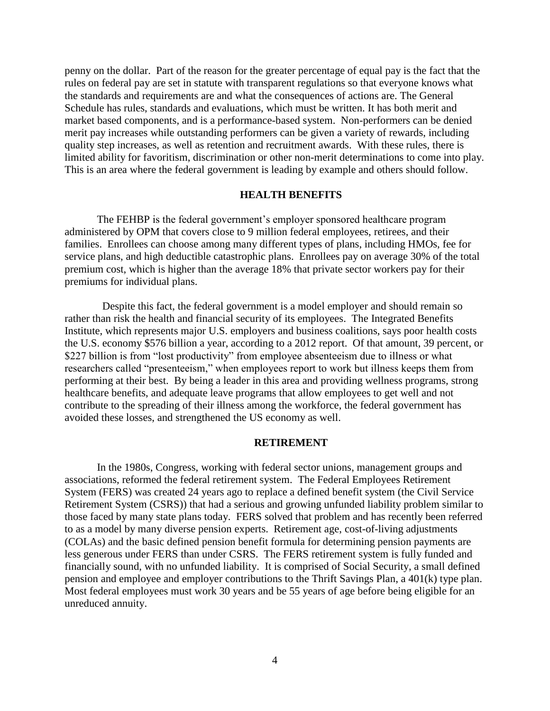penny on the dollar. Part of the reason for the greater percentage of equal pay is the fact that the rules on federal pay are set in statute with transparent regulations so that everyone knows what the standards and requirements are and what the consequences of actions are. The General Schedule has rules, standards and evaluations, which must be written. It has both merit and market based components, and is a performance-based system. Non-performers can be denied merit pay increases while outstanding performers can be given a variety of rewards, including quality step increases, as well as retention and recruitment awards. With these rules, there is limited ability for favoritism, discrimination or other non-merit determinations to come into play. This is an area where the federal government is leading by example and others should follow.

## **HEALTH BENEFITS**

The FEHBP is the federal government's employer sponsored healthcare program administered by OPM that covers close to 9 million federal employees, retirees, and their families. Enrollees can choose among many different types of plans, including HMOs, fee for service plans, and high deductible catastrophic plans. Enrollees pay on average 30% of the total premium cost, which is higher than the average 18% that private sector workers pay for their premiums for individual plans.

 Despite this fact, the federal government is a model employer and should remain so rather than risk the health and financial security of its employees. The Integrated Benefits Institute, which represents major U.S. employers and business coalitions, says poor health costs the U.S. economy \$576 billion a year, according to a 2012 report. Of that amount, 39 percent, or \$227 billion is from "lost productivity" from employee absenteeism due to illness or what researchers called "presenteeism," when employees report to work but illness keeps them from performing at their best. By being a leader in this area and providing wellness programs, strong healthcare benefits, and adequate leave programs that allow employees to get well and not contribute to the spreading of their illness among the workforce, the federal government has avoided these losses, and strengthened the US economy as well.

#### **RETIREMENT**

In the 1980s, Congress, working with federal sector unions, management groups and associations, reformed the federal retirement system. The Federal Employees Retirement System (FERS) was created 24 years ago to replace a defined benefit system (the Civil Service Retirement System (CSRS)) that had a serious and growing unfunded liability problem similar to those faced by many state plans today. FERS solved that problem and has recently been referred to as a model by many diverse pension experts. Retirement age, cost-of-living adjustments (COLAs) and the basic defined pension benefit formula for determining pension payments are less generous under FERS than under CSRS. The FERS retirement system is fully funded and financially sound, with no unfunded liability. It is comprised of Social Security, a small defined pension and employee and employer contributions to the Thrift Savings Plan, a 401(k) type plan. Most federal employees must work 30 years and be 55 years of age before being eligible for an unreduced annuity.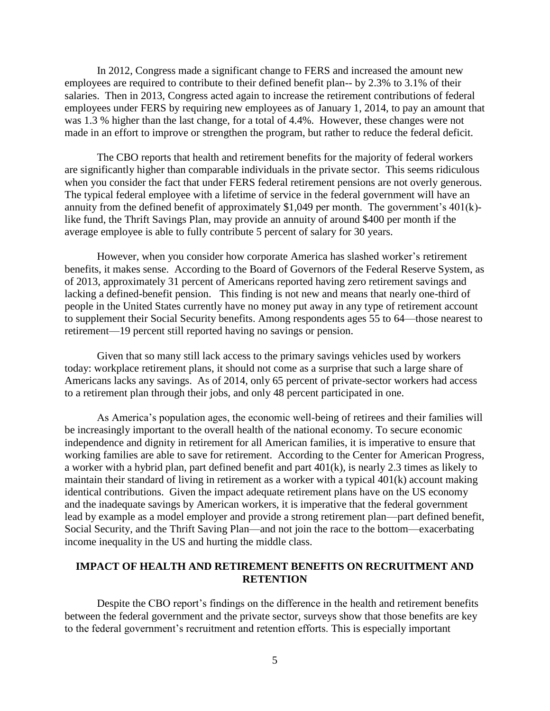In 2012, Congress made a significant change to FERS and increased the amount new employees are required to contribute to their defined benefit plan-- by 2.3% to 3.1% of their salaries. Then in 2013, Congress acted again to increase the retirement contributions of federal employees under FERS by requiring new employees as of January 1, 2014, to pay an amount that was 1.3 % higher than the last change, for a total of 4.4%. However, these changes were not made in an effort to improve or strengthen the program, but rather to reduce the federal deficit.

The CBO reports that health and retirement benefits for the majority of federal workers are significantly higher than comparable individuals in the private sector. This seems ridiculous when you consider the fact that under FERS federal retirement pensions are not overly generous. The typical federal employee with a lifetime of service in the federal government will have an annuity from the defined benefit of approximately \$1,049 per month. The government's 401(k) like fund, the Thrift Savings Plan, may provide an annuity of around \$400 per month if the average employee is able to fully contribute 5 percent of salary for 30 years.

However, when you consider how corporate America has slashed worker's retirement benefits, it makes sense. According to the Board of Governors of the Federal Reserve System, as of 2013, approximately 31 percent of Americans reported having zero retirement savings and lacking a defined-benefit pension. This finding is not new and means that nearly one-third of people in the United States currently have no money put away in any type of retirement account to supplement their Social Security benefits. Among respondents ages 55 to 64—those nearest to retirement—19 percent still reported having no savings or pension.

Given that so many still lack access to the primary savings vehicles used by workers today: workplace retirement plans, it should not come as a surprise that such a large share of Americans lacks any savings. As of 2014, only 65 percent of private-sector workers had access to a retirement plan through their jobs, and only 48 percent participated in one.

As America's population ages, the economic well-being of retirees and their families will be increasingly important to the overall health of the national economy. To secure economic independence and dignity in retirement for all American families, it is imperative to ensure that working families are able to save for retirement. According to the Center for American Progress, a worker with a hybrid plan, part defined benefit and part 401(k), is nearly 2.3 times as likely to maintain their standard of living in retirement as a worker with a typical 401(k) account making identical contributions. Given the impact adequate retirement plans have on the US economy and the inadequate savings by American workers, it is imperative that the federal government lead by example as a model employer and provide a strong retirement plan—part defined benefit, Social Security, and the Thrift Saving Plan—and not join the race to the bottom—exacerbating income inequality in the US and hurting the middle class.

# **IMPACT OF HEALTH AND RETIREMENT BENEFITS ON RECRUITMENT AND RETENTION**

Despite the CBO report's findings on the difference in the health and retirement benefits between the federal government and the private sector, surveys show that those benefits are key to the federal government's recruitment and retention efforts. This is especially important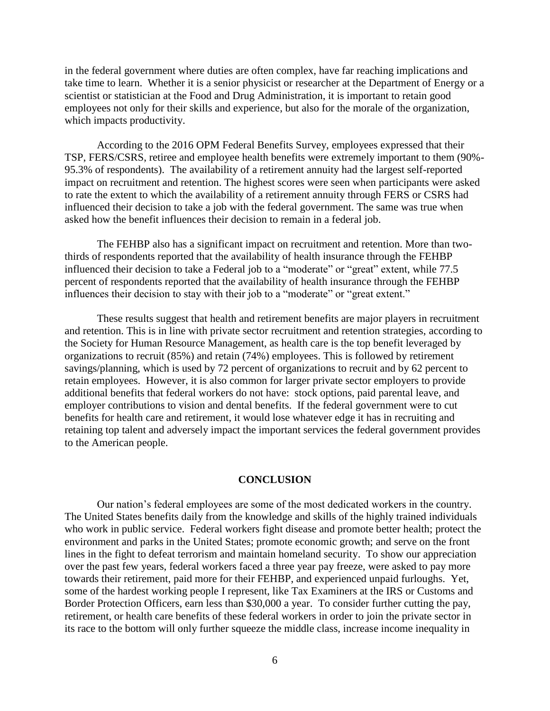in the federal government where duties are often complex, have far reaching implications and take time to learn. Whether it is a senior physicist or researcher at the Department of Energy or a scientist or statistician at the Food and Drug Administration, it is important to retain good employees not only for their skills and experience, but also for the morale of the organization, which impacts productivity.

According to the 2016 OPM Federal Benefits Survey, employees expressed that their TSP, FERS/CSRS, retiree and employee health benefits were extremely important to them (90%- 95.3% of respondents). The availability of a retirement annuity had the largest self-reported impact on recruitment and retention. The highest scores were seen when participants were asked to rate the extent to which the availability of a retirement annuity through FERS or CSRS had influenced their decision to take a job with the federal government. The same was true when asked how the benefit influences their decision to remain in a federal job.

The FEHBP also has a significant impact on recruitment and retention. More than twothirds of respondents reported that the availability of health insurance through the FEHBP influenced their decision to take a Federal job to a "moderate" or "great" extent, while 77.5 percent of respondents reported that the availability of health insurance through the FEHBP influences their decision to stay with their job to a "moderate" or "great extent."

These results suggest that health and retirement benefits are major players in recruitment and retention. This is in line with private sector recruitment and retention strategies, according to the Society for Human Resource Management, as health care is the top benefit leveraged by organizations to recruit (85%) and retain (74%) employees. This is followed by retirement savings/planning, which is used by 72 percent of organizations to recruit and by 62 percent to retain employees. However, it is also common for larger private sector employers to provide additional benefits that federal workers do not have: stock options, paid parental leave, and employer contributions to vision and dental benefits. If the federal government were to cut benefits for health care and retirement, it would lose whatever edge it has in recruiting and retaining top talent and adversely impact the important services the federal government provides to the American people.

## **CONCLUSION**

Our nation's federal employees are some of the most dedicated workers in the country. The United States benefits daily from the knowledge and skills of the highly trained individuals who work in public service. Federal workers fight disease and promote better health; protect the environment and parks in the United States; promote economic growth; and serve on the front lines in the fight to defeat terrorism and maintain homeland security. To show our appreciation over the past few years, federal workers faced a three year pay freeze, were asked to pay more towards their retirement, paid more for their FEHBP, and experienced unpaid furloughs. Yet, some of the hardest working people I represent, like Tax Examiners at the IRS or Customs and Border Protection Officers, earn less than \$30,000 a year. To consider further cutting the pay, retirement, or health care benefits of these federal workers in order to join the private sector in its race to the bottom will only further squeeze the middle class, increase income inequality in